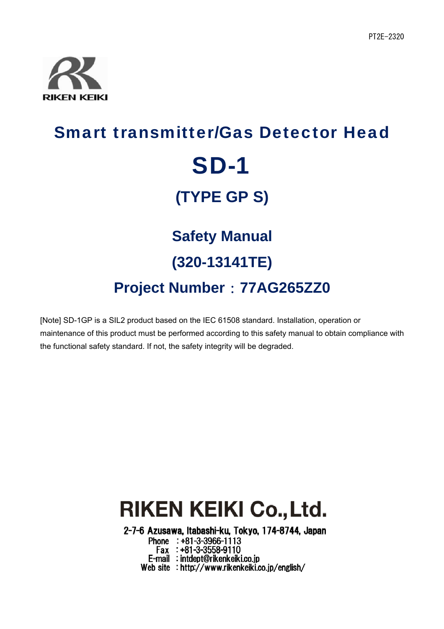

# Smart transmitter/Gas Detector Head SD-1 **(TYPE GP S) Safety Manual (320-13141TE) Project Number**:**77AG265ZZ0**

[Note] SD-1GP is a SIL2 product based on the IEC 61508 standard. Installation, operation or maintenance of this product must be performed according to this safety manual to obtain compliance with the functional safety standard. If not, the safety integrity will be degraded.

## **RIKEN KEIKI Co., Ltd.**

2-7-6 Azusawa, Itabashi-ku, Tokyo, 174-8744, Japan

Phone : +81-3-3966-1113 Fax : +81-3-3558-9110<br>E-mail : intdept@rikenkeiki.co.jp Web site : http://www.rikenkeiki.co.jp/english/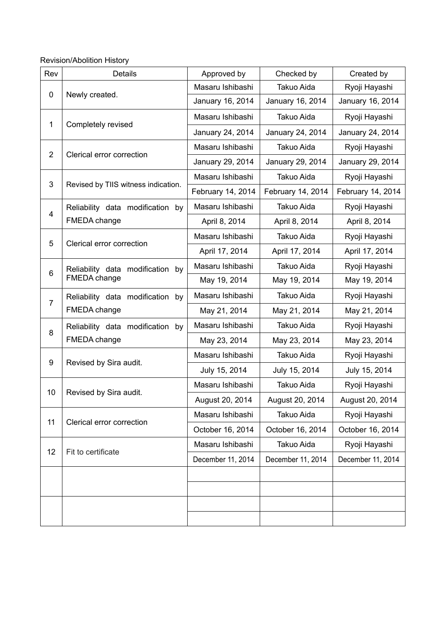Revision/Abolition History

| Rev            | Details                                          | Approved by       | Checked by        | Created by        |
|----------------|--------------------------------------------------|-------------------|-------------------|-------------------|
| 0              | Newly created.                                   | Masaru Ishibashi  | <b>Takuo Aida</b> | Ryoji Hayashi     |
|                |                                                  | January 16, 2014  | January 16, 2014  | January 16, 2014  |
| $\mathbf{1}$   | Completely revised                               | Masaru Ishibashi  | Takuo Aida        | Ryoji Hayashi     |
|                |                                                  | January 24, 2014  | January 24, 2014  | January 24, 2014  |
|                |                                                  | Masaru Ishibashi  | Takuo Aida        | Ryoji Hayashi     |
| $\overline{2}$ | Clerical error correction                        | January 29, 2014  | January 29, 2014  | January 29, 2014  |
|                | Revised by TIIS witness indication.              | Masaru Ishibashi  | Takuo Aida        | Ryoji Hayashi     |
| 3              |                                                  | February 14, 2014 | February 14, 2014 | February 14, 2014 |
| 4              | Reliability data modification by                 | Masaru Ishibashi  | Takuo Aida        | Ryoji Hayashi     |
|                | FMEDA change                                     | April 8, 2014     | April 8, 2014     | April 8, 2014     |
|                | Clerical error correction                        | Masaru Ishibashi  | <b>Takuo Aida</b> | Ryoji Hayashi     |
| 5              |                                                  | April 17, 2014    | April 17, 2014    | April 17, 2014    |
|                | Reliability data modification by<br>FMEDA change | Masaru Ishibashi  | Takuo Aida        | Ryoji Hayashi     |
| 6              |                                                  | May 19, 2014      | May 19, 2014      | May 19, 2014      |
| $\overline{7}$ | Reliability data modification by<br>FMEDA change | Masaru Ishibashi  | Takuo Aida        | Ryoji Hayashi     |
|                |                                                  | May 21, 2014      | May 21, 2014      | May 21, 2014      |
| 8              | Reliability data modification<br>by              | Masaru Ishibashi  | Takuo Aida        | Ryoji Hayashi     |
|                | FMEDA change                                     | May 23, 2014      | May 23, 2014      | May 23, 2014      |
| 9              | Revised by Sira audit.                           | Masaru Ishibashi  | Takuo Aida        | Ryoji Hayashi     |
|                |                                                  | July 15, 2014     | July 15, 2014     | July 15, 2014     |
| 10             | Revised by Sira audit.                           | Masaru Ishibashi  | Takuo Aida        | Ryoji Hayashi     |
|                |                                                  | August 20, 2014   | August 20, 2014   | August 20, 2014   |
| 11             |                                                  | Masaru Ishibashi  | Takuo Aida        | Ryoji Hayashi     |
|                | Clerical error correction                        | October 16, 2014  | October 16, 2014  | October 16, 2014  |
| 12             | Fit to certificate                               | Masaru Ishibashi  | Takuo Aida        | Ryoji Hayashi     |
|                |                                                  | December 11, 2014 | December 11, 2014 | December 11, 2014 |
|                |                                                  |                   |                   |                   |
|                |                                                  |                   |                   |                   |
|                |                                                  |                   |                   |                   |
|                |                                                  |                   |                   |                   |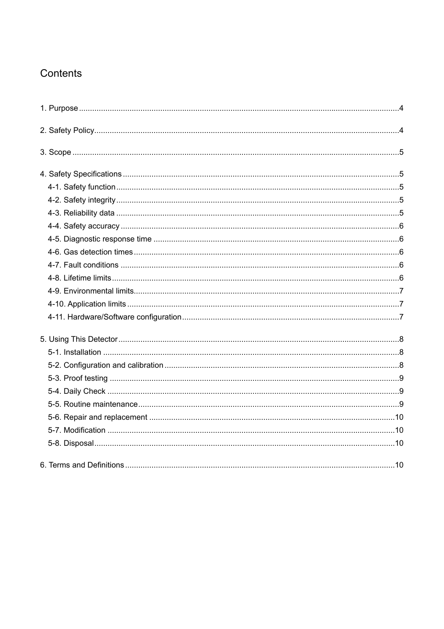## Contents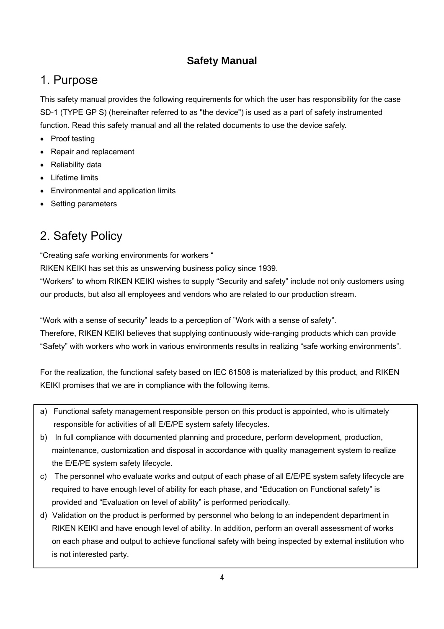### **Safety Manual**

## 1. Purpose

This safety manual provides the following requirements for which the user has responsibility for the case SD-1 (TYPE GP S) (hereinafter referred to as "the device") is used as a part of safety instrumented function. Read this safety manual and all the related documents to use the device safely.

- Proof testing
- Repair and replacement
- Reliability data
- Lifetime limits
- Environmental and application limits
- Setting parameters

## 2. Safety Policy

"Creating safe working environments for workers "

RIKEN KEIKI has set this as unswerving business policy since 1939.

"Workers" to whom RIKEN KEIKI wishes to supply "Security and safety" include not only customers using our products, but also all employees and vendors who are related to our production stream.

"Work with a sense of security" leads to a perception of "Work with a sense of safety".

Therefore, RIKEN KEIKI believes that supplying continuously wide-ranging products which can provide "Safety" with workers who work in various environments results in realizing "safe working environments".

For the realization, the functional safety based on IEC 61508 is materialized by this product, and RIKEN KEIKI promises that we are in compliance with the following items.

- a) Functional safety management responsible person on this product is appointed, who is ultimately responsible for activities of all E/E/PE system safety lifecycles.
- b) In full compliance with documented planning and procedure, perform development, production, maintenance, customization and disposal in accordance with quality management system to realize the E/E/PE system safety lifecycle.
- c) The personnel who evaluate works and output of each phase of all E/E/PE system safety lifecycle are required to have enough level of ability for each phase, and "Education on Functional safety" is provided and "Evaluation on level of ability" is performed periodically.
- d) Validation on the product is performed by personnel who belong to an independent department in RIKEN KEIKI and have enough level of ability. In addition, perform an overall assessment of works on each phase and output to achieve functional safety with being inspected by external institution who is not interested party.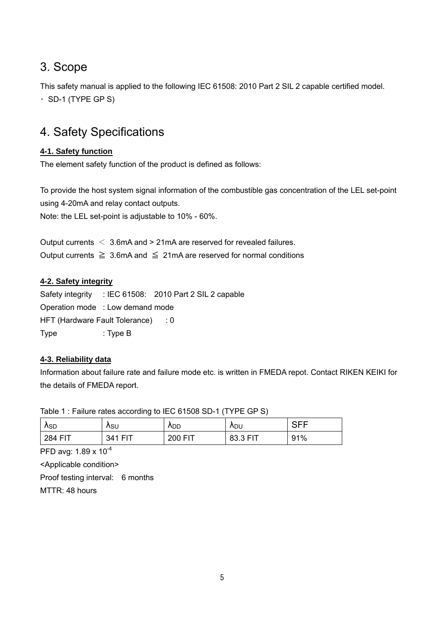## 3. Scope

This safety manual is applied to the following IEC 61508: 2010 Part 2 SIL 2 capable certified model.  $\cdot$  SD-1 (TYPE GP S)

## 4. Safety Specifications

#### **4-1. Safety function**

The element safety function of the product is defined as follows:

To provide the host system signal information of the combustible gas concentration of the LEL set-point using 4-20mA and relay contact outputs.

Note: the LEL set-point is adjustable to 10% - 60%.

Output currents < 3.6mA and > 21mA are reserved for revealed failures. Output currents  $\geq 3.6$ mA and  $\leq 21$ mA are reserved for normal conditions

#### **4-2. Safety integrity**

Safety integrity : IEC 61508: 2010 Part 2 SIL 2 capable Operation mode : Low demand mode HFT (Hardware Fault Tolerance) : 0 Type : Type B

#### **4-3. Reliability data**

Information about failure rate and failure mode etc. is written in FMEDA repot. Contact RIKEN KEIKI for the details of FMEDA report.

Table 1 : Failure rates according to IEC 61508 SD-1 (TYPE GP S)  $\lambda_{\text{\scriptsize SD}}$   $\lambda_{\text{\scriptsize SU}}$   $\lambda_{\text{\scriptsize DD}}$   $\lambda_{\text{\scriptsize DU}}$  SFF

284 FIT | 341 FIT | 200 FIT | 83.3 FIT | 91%

PFD avg: 1.89 x 10-4

<Applicable condition>

Proof testing interval: 6 months

MTTR: 48 hours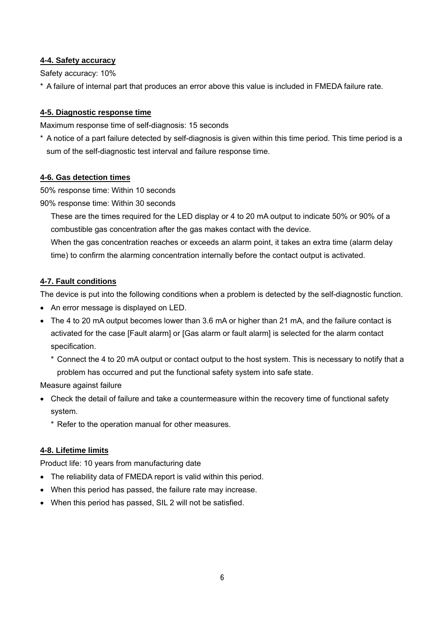#### **4-4. Safety accuracy**

Safety accuracy: 10%

\* A failure of internal part that produces an error above this value is included in FMEDA failure rate.

#### **4-5. Diagnostic response time**

Maximum response time of self-diagnosis: 15 seconds

\* A notice of a part failure detected by self-diagnosis is given within this time period. This time period is a sum of the self-diagnostic test interval and failure response time.

#### **4-6. Gas detection times**

50% response time: Within 10 seconds

90% response time: Within 30 seconds

These are the times required for the LED display or 4 to 20 mA output to indicate 50% or 90% of a combustible gas concentration after the gas makes contact with the device.

When the gas concentration reaches or exceeds an alarm point, it takes an extra time (alarm delay time) to confirm the alarming concentration internally before the contact output is activated.

#### **4-7. Fault conditions**

The device is put into the following conditions when a problem is detected by the self-diagnostic function.

- An error message is displayed on LED.
- The 4 to 20 mA output becomes lower than 3.6 mA or higher than 21 mA, and the failure contact is activated for the case [Fault alarm] or [Gas alarm or fault alarm] is selected for the alarm contact specification.
	- \* Connect the 4 to 20 mA output or contact output to the host system. This is necessary to notify that a problem has occurred and put the functional safety system into safe state.

Measure against failure

- Check the detail of failure and take a countermeasure within the recovery time of functional safety system.
	- \* Refer to the operation manual for other measures.

#### **4-8. Lifetime limits**

Product life: 10 years from manufacturing date

- The reliability data of FMEDA report is valid within this period.
- When this period has passed, the failure rate may increase.
- When this period has passed, SIL 2 will not be satisfied.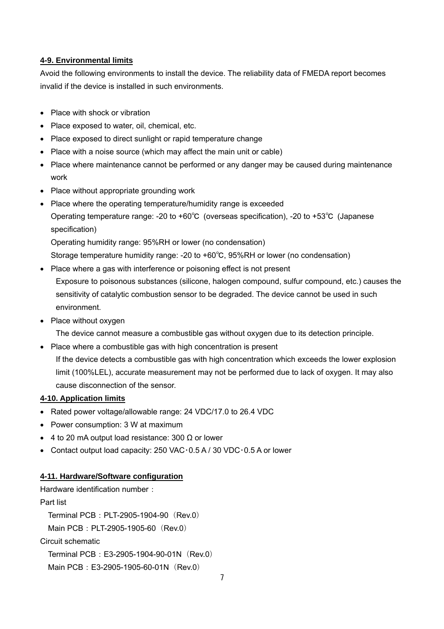#### **4-9. Environmental limits**

Avoid the following environments to install the device. The reliability data of FMEDA report becomes invalid if the device is installed in such environments.

- Place with shock or vibration
- Place exposed to water, oil, chemical, etc.
- Place exposed to direct sunlight or rapid temperature change
- Place with a noise source (which may affect the main unit or cable)
- Place where maintenance cannot be performed or any danger may be caused during maintenance work
- Place without appropriate grounding work
- Place where the operating temperature/humidity range is exceeded Operating temperature range: -20 to +60℃ (overseas specification), -20 to +53℃ (Japanese specification)

Operating humidity range: 95%RH or lower (no condensation)

Storage temperature humidity range: -20 to +60℃, 95%RH or lower (no condensation)

• Place where a gas with interference or poisoning effect is not present

Exposure to poisonous substances (silicone, halogen compound, sulfur compound, etc.) causes the sensitivity of catalytic combustion sensor to be degraded. The device cannot be used in such environment.

• Place without oxygen

The device cannot measure a combustible gas without oxygen due to its detection principle.

- Place where a combustible gas with high concentration is present
	- If the device detects a combustible gas with high concentration which exceeds the lower explosion limit (100%LEL), accurate measurement may not be performed due to lack of oxygen. It may also cause disconnection of the sensor.

#### **4-10. Application limits**

- Rated power voltage/allowable range: 24 VDC/17.0 to 26.4 VDC
- Power consumption: 3 W at maximum
- $\bullet$  4 to 20 mA output load resistance: 300 Ω or lower
- Contact output load capacity: 250 VAC $\cdot$  0.5 A / 30 VDC $\cdot$  0.5 A or lower

#### **4-11. Hardware/Software configuration**

Hardware identification number:

Part list Terminal PCB: PLT-2905-1904-90 (Rev.0) Main PCB: PLT-2905-1905-60 (Rev.0) Circuit schematic

Terminal PCB: E3-2905-1904-90-01N (Rev.0)

Main PCB: E3-2905-1905-60-01N (Rev.0)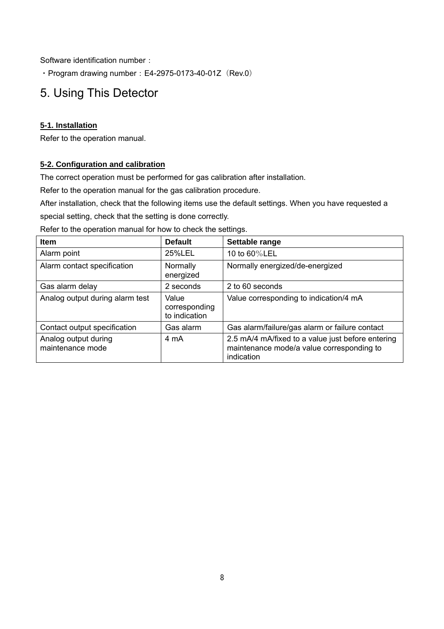Software identification number:

 $\cdot$  Program drawing number: E4-2975-0173-40-01Z (Rev.0)

## 5. Using This Detector

#### **5-1. Installation**

Refer to the operation manual.

#### **5-2. Configuration and calibration**

The correct operation must be performed for gas calibration after installation.

Refer to the operation manual for the gas calibration procedure.

After installation, check that the following items use the default settings. When you have requested a

special setting, check that the setting is done correctly.

Refer to the operation manual for how to check the settings.

| <b>Item</b>                              | <b>Default</b>                          | Settable range                                                                                               |
|------------------------------------------|-----------------------------------------|--------------------------------------------------------------------------------------------------------------|
| Alarm point                              | 25%LEL                                  | 10 to 60%LEL                                                                                                 |
| Alarm contact specification              | Normally<br>energized                   | Normally energized/de-energized                                                                              |
| Gas alarm delay                          | 2 seconds                               | 2 to 60 seconds                                                                                              |
| Analog output during alarm test          | Value<br>corresponding<br>to indication | Value corresponding to indication/4 mA                                                                       |
| Contact output specification             | Gas alarm                               | Gas alarm/failure/gas alarm or failure contact                                                               |
| Analog output during<br>maintenance mode | 4 mA                                    | 2.5 mA/4 mA/fixed to a value just before entering<br>maintenance mode/a value corresponding to<br>indication |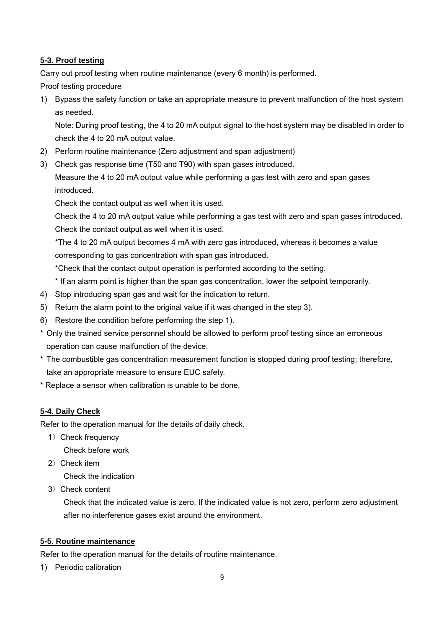#### **5-3. Proof testing**

Carry out proof testing when routine maintenance (every 6 month) is performed.

Proof testing procedure

1) Bypass the safety function or take an appropriate measure to prevent malfunction of the host system as needed.

Note: During proof testing, the 4 to 20 mA output signal to the host system may be disabled in order to check the 4 to 20 mA output value.

- 2) Perform routine maintenance (Zero adjustment and span adjustment)
- 3) Check gas response time (T50 and T90) with span gases introduced.

Measure the 4 to 20 mA output value while performing a gas test with zero and span gases introduced.

Check the contact output as well when it is used.

Check the 4 to 20 mA output value while performing a gas test with zero and span gases introduced. Check the contact output as well when it is used.

\*The 4 to 20 mA output becomes 4 mA with zero gas introduced, whereas it becomes a value corresponding to gas concentration with span gas introduced.

\*Check that the contact output operation is performed according to the setting.

- \* If an alarm point is higher than the span gas concentration, lower the setpoint temporarily.
- 4) Stop introducing span gas and wait for the indication to return.
- 5) Return the alarm point to the original value if it was changed in the step 3).
- 6) Restore the condition before performing the step 1).
- \* Only the trained service personnel should be allowed to perform proof testing since an erroneous operation can cause malfunction of the device.
- \* The combustible gas concentration measurement function is stopped during proof testing; therefore, take an appropriate measure to ensure EUC safety.
- \* Replace a sensor when calibration is unable to be done.

#### **5-4. Daily Check**

Refer to the operation manual for the details of daily check.

1) Check frequency

Check before work

2)Check item

Check the indication

3)Check content

 Check that the indicated value is zero. If the indicated value is not zero, perform zero adjustment after no interference gases exist around the environment.

#### **5-5. Routine maintenance**

Refer to the operation manual for the details of routine maintenance.

1) Periodic calibration